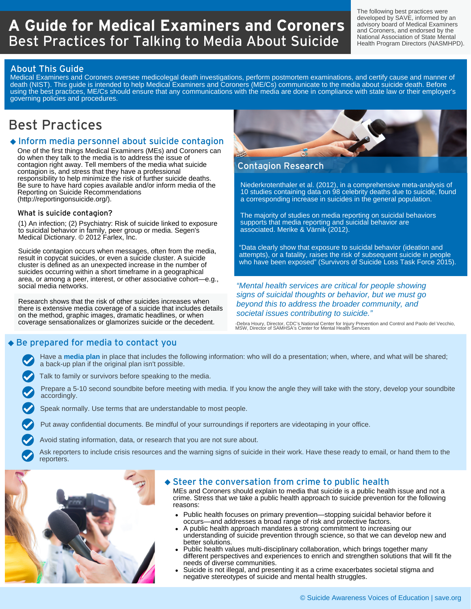# **A Guide for Medical Examiners and Coroners** Best Practices for Talking to Media About Suicide

The following best practices were developed by SAVE, informed by an advisory board of Medical Examiners and Coroners, and endorsed by the National Association of State Mental Health Program Directors (NASMHPD).

## About This Guide

Medical Examiners and Coroners oversee medicolegal death investigations, perform postmortem examinations, and certify cause and manner of death (NIST). This guide is intended to help Medical Examiners and Coroners (ME/Cs) communicate to the media about suicide death. Before using the best practices, ME/Cs should ensure that any communications with the media are done in compliance with state law or their employer's governing policies and procedures.

## Best Practices

## Inform media personnel about suicide contagion

One of the first things Medical Examiners (MEs) and Coroners can do when they talk to the media is to address the issue of contagion right away. Tell members of the media what suicide contagion is, and stress that they have a professional responsibility to help minimize the risk of further suicide deaths. Be sure to have hard copies available and/or inform media of the Reporting on Suicide Recommendations (http://reportingonsuicide.org/).

### What is suicide contagion?

(1) An infection; (2) Psychiatry: Risk of suicide linked to exposure to suicidal behavior in family, peer group or media. Segen's Medical Dictionary. © 2012 Farlex, Inc.

Suicide contagion occurs when messages, often from the media, result in copycat suicides, or even a suicide cluster. A suicide cluster is defined as an unexpected increase in the number of suicides occurring within a short timeframe in a geographical area, or among a peer, interest, or other associative cohort—e.g., social media networks.

Research shows that the risk of other suicides increases when there is extensive media coverage of a suicide that includes details on the method, graphic images, dramatic headlines, or when coverage sensationalizes or glamorizes suicide or the decedent.



## Contagion Research

Niederkrotenthaler et al. (2012), in a comprehensive meta-analysis of 10 studies containing data on 98 celebrity deaths due to suicide, found a corresponding increase in suicides in the general population.

The majority of studies on media reporting on suicidal behaviors supports that media reporting and suicidal behavior are associated. Merike & Värnik (2012).

"Data clearly show that exposure to suicidal behavior (ideation and attempts), or a fatality, raises the risk of subsequent suicide in people who have been exposed" (Survivors of Suicide Loss Task Force 2015).

### *"Mental health services are critical for people showing signs of suicidal thoughts or behavior, but we must go beyond this to address the broader community, and societal issues contributing to suicide."*

-Debra Houry, Director, CDC's National Center for Injury Prevention and Control and Paolo del Vecchio, MSW, Director of SAMHSA's Center for Mental Health Services

## Be prepared for media to contact you

Have a **media plan** in place that includes the following information: who will do a presentation; when, where, and what will be shared; a back-up plan if the original plan isn't possible.

Talk to family or survivors before speaking to the media.

Prepare a 5-10 second soundbite before meeting with media. If you know the angle they will take with the story, develop your soundbite accordingly.

Speak normally. Use terms that are understandable to most people.

Put away confidential documents. Be mindful of your surroundings if reporters are videotaping in your office.

Avoid stating information, data, or research that you are not sure about.

Ask reporters to include crisis resources and the warning signs of suicide in their work. Have these ready to email, or hand them to the reporters.



### $\bullet$  Steer the conversation from crime to public health

MEs and Coroners should explain to media that suicide is a public health issue and not a crime. Stress that we take a public health approach to suicide prevention for the following reasons:

- Public health focuses on primary prevention—stopping suicidal behavior before it occurs—and addresses a broad range of risk and protective factors.
- A public health approach mandates a strong commitment to increasing our understanding of suicide prevention through science, so that we can develop new and better solutions.
- Public health values multi-disciplinary collaboration, which brings together many different perspectives and experiences to enrich and strengthen solutions that will fit the needs of diverse communities.
- Suicide is not illegal, and presenting it as a crime exacerbates societal stigma and negative stereotypes of suicide and mental health struggles.